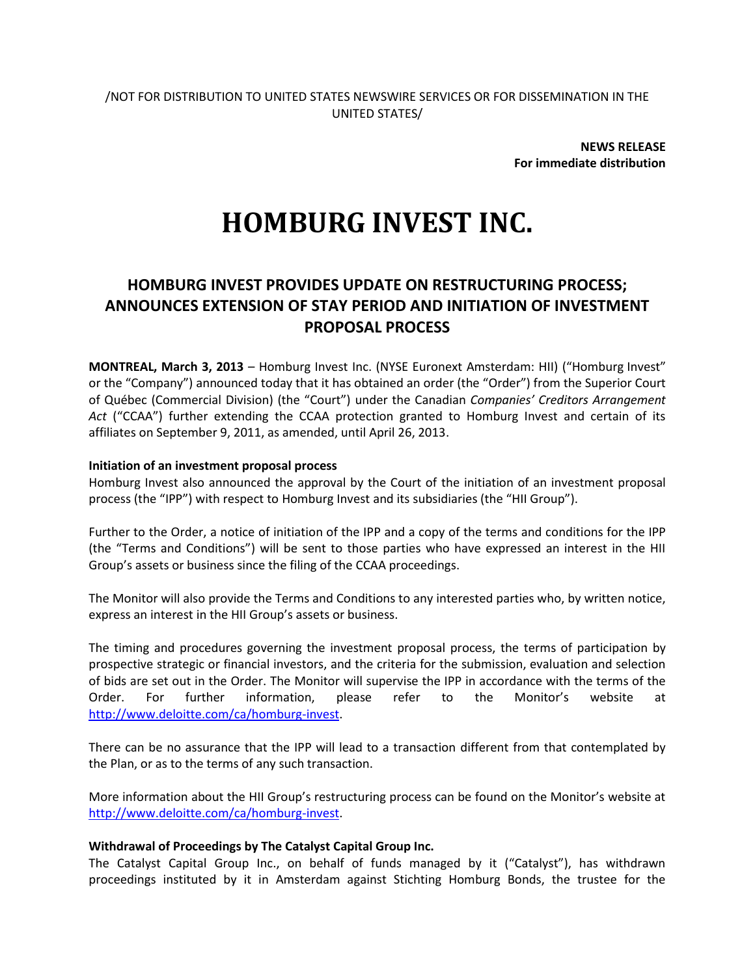**NEWS RELEASE For immediate distribution**

# **HOMBURG INVEST INC.**

# **HOMBURG INVEST PROVIDES UPDATE ON RESTRUCTURING PROCESS; ANNOUNCES EXTENSION OF STAY PERIOD AND INITIATION OF INVESTMENT PROPOSAL PROCESS**

**MONTREAL, March 3, 2013** – Homburg Invest Inc. (NYSE Euronext Amsterdam: HII) ("Homburg Invest" or the "Company") announced today that it has obtained an order (the "Order") from the Superior Court of Québec (Commercial Division) (the "Court") under the Canadian *Companies' Creditors Arrangement Act* ("CCAA") further extending the CCAA protection granted to Homburg Invest and certain of its affiliates on September 9, 2011, as amended, until April 26, 2013.

### **Initiation of an investment proposal process**

Homburg Invest also announced the approval by the Court of the initiation of an investment proposal process (the "IPP") with respect to Homburg Invest and its subsidiaries (the "HII Group").

Further to the Order, a notice of initiation of the IPP and a copy of the terms and conditions for the IPP (the "Terms and Conditions") will be sent to those parties who have expressed an interest in the HII Group's assets or business since the filing of the CCAA proceedings.

The Monitor will also provide the Terms and Conditions to any interested parties who, by written notice, express an interest in the HII Group's assets or business.

The timing and procedures governing the investment proposal process, the terms of participation by prospective strategic or financial investors, and the criteria for the submission, evaluation and selection of bids are set out in the Order. The Monitor will supervise the IPP in accordance with the terms of the Order. For further information, please refer to the Monitor's website at [http://www.deloitte.com/ca/homburg-invest.](http://www.deloitte.com/ca/homburg-invest)

There can be no assurance that the IPP will lead to a transaction different from that contemplated by the Plan, or as to the terms of any such transaction.

More information about the HII Group's restructuring process can be found on the Monitor's website at [http://www.deloitte.com/ca/homburg-invest.](http://www.deloitte.com/ca/homburg-invest)

## **Withdrawal of Proceedings by The Catalyst Capital Group Inc.**

The Catalyst Capital Group Inc., on behalf of funds managed by it ("Catalyst"), has withdrawn proceedings instituted by it in Amsterdam against Stichting Homburg Bonds, the trustee for the